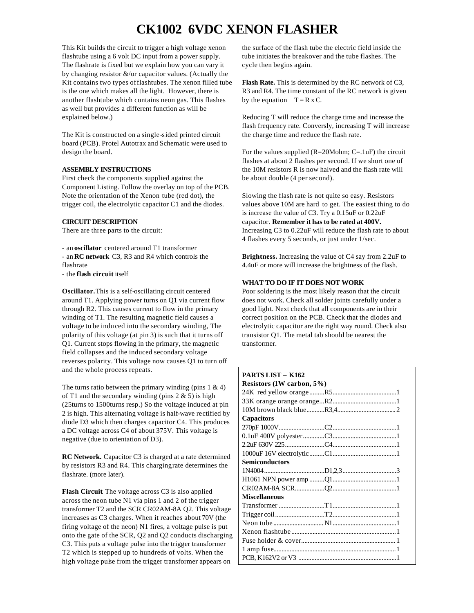## **CK1002 6VDC XENON FLASHER**

This Kit builds the circuit to trigger a high voltage xenon flashtube using a 6 volt DC input from a power supply. The flashrate is fixed but we explain how you can vary it by changing resistor &/or capacitor values. (Actually the Kit contains two types of flashtubes. The xenon filled tube is the one which makes all the light. However, there is another flashtube which contains neon gas. This flashes as well but provides a different function as will be explained below.)

The Kit is constructed on a single -sided printed circuit board (PCB). Protel Autotrax and Schematic were used to design the board.

#### **ASSEMBLY INSTRUCTIONS**

First check the components supplied against the Component Listing. Follow the overlay on top of the PCB. Note the orientation of the Xenon tube (red dot), the trigger coil, the electrolytic capacitor C1 and the diodes.

### **CIRCUIT DESCRIPTION**

There are three parts to the circuit:

- an **oscillator** centered around T1 transformer - an **RC network** C3, R3 and R4 which controls the flashrate

- the **flash circuit** itself

**Oscillator.** This is a self-oscillating circuit centered around T1. Applying power turns on Q1 via current flow through R2. This causes current to flow in the primary winding of T1. The resulting magnetic field causes a voltage to be induced into the secondary winding, The polarity of this voltage (at pin 3) is such that it turns off Q1. Current stops flowing in the primary, the magnetic field collapses and the induced secondary voltage reverses polarity. This voltage now causes Q1 to turn off and the whole process repeats.

The turns ratio between the primary winding (pins  $1 \& 4$ ) of T1 and the secondary winding (pins  $2 \& 5$ ) is high (25turns to 1500turns resp.) So the voltage induced at pin 2 is high. This alternating voltage is half-wave rectified by diode D3 which then charges capacitor C4. This produces a DC voltage across C4 of about 375V. This voltage is negative (due to orientation of D3).

**RC Network.** Capacitor C3 is charged at a rate determined by resistors R3 and R4. This charging rate determines the flashrate. (more later).

**Flash Circuit**. The voltage across C3 is also applied across the neon tube N1 via pins 1 and 2 of the trigger transformer T2 and the SCR CR02AM-8A Q2. This voltage increases as C3 charges. When it reaches about 70V (the firing voltage of the neon) N1 fires, a voltage pulse is put onto the gate of the SCR, Q2 and Q2 conducts discharging C3. This puts a voltage pulse into the trigger transformer T2 which is stepped up to hundreds of volts. When the high voltage pulse from the trigger transformer appears on

the surface of the flash tube the electric field inside the tube initiates the breakover and the tube flashes. The cycle then begins again.

**Flash Rate.** This is determined by the RC network of C3, R3 and R4. The time constant of the RC network is given by the equation  $T = R x C$ .

Reducing T will reduce the charge time and increase the flash frequency rate. Conversly, increasing T will increase the charge time and reduce the flash rate.

For the values supplied  $(R=20Mohm; C=.1uF)$  the circuit flashes at about 2 flashes per second. If we short one of the 10M resistors R is now halved and the flash rate will be about double (4 per second).

Slowing the flash rate is not quite so easy. Resistors values above 10M are hard to get. The easiest thing to do is increase the value of C3. Try a 0.15uF or 0.22uF capacitor. **Remember it has to be rated at 400V.** Increasing C3 to 0.22uF will reduce the flash rate to about 4 flashes every 5 seconds, or just under 1/sec.

**Brightness.** Increasing the value of C4 say from 2.2uF to 4.4uF or more will increase the brightness of the flash.

### **WHAT TO DO IF IT DOES NOT WORK**

Poor soldering is the most likely reason that the circuit does not work. Check all solder joints carefully under a good light. Next check that all components are in their correct position on the PCB. Check that the diodes and electrolytic capacitor are the right way round. Check also transistor Q1. The metal tab should be nearest the transformer.

| <b>PARTS LIST – K162</b>       |
|--------------------------------|
| Resistors $(1W \ncarbon, 5\%)$ |
|                                |
|                                |
|                                |
| <b>Capacitors</b>              |
|                                |
|                                |
|                                |
|                                |
| <b>Semiconductors</b>          |
|                                |
|                                |
|                                |
| <b>Miscellaneous</b>           |
|                                |
|                                |
|                                |
|                                |
|                                |
|                                |
|                                |